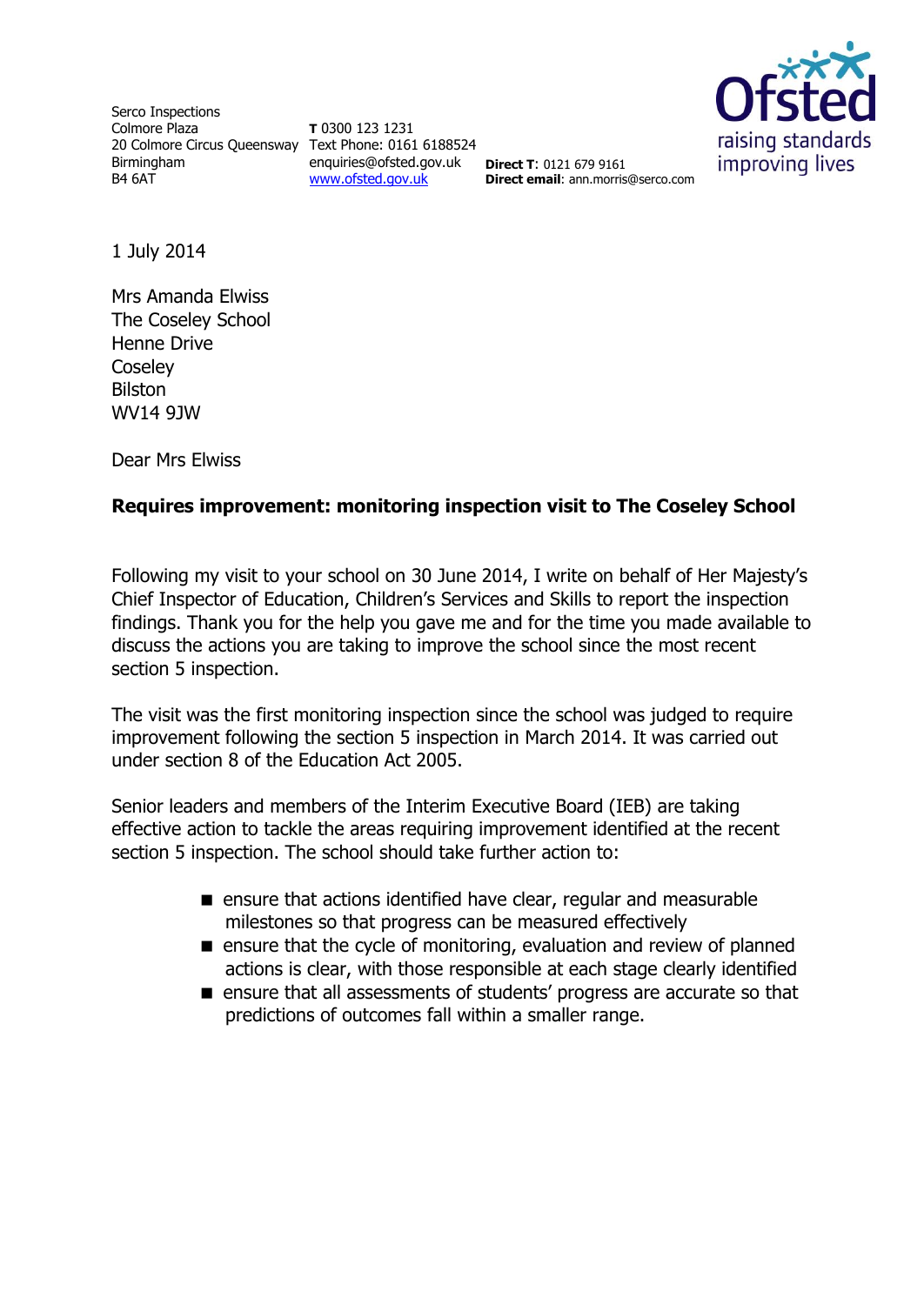Serco Inspections Colmore Plaza 20 Colmore Circus Queensway Text Phone: 0161 6188524 Birmingham B4 6AT

**T** 0300 123 1231 enquiries@ofsted.gov.uk [www.ofsted.gov.uk](http://www.ofsted.gov.uk/)



**Direct T**: 0121 679 9161 **Direct email**: ann.morris@serco.com

1 July 2014

Mrs Amanda Elwiss The Coseley School Henne Drive **Coselev** Bilston WV14 9JW

Dear Mrs Elwiss

# **Requires improvement: monitoring inspection visit to The Coseley School**

Following my visit to your school on 30 June 2014, I write on behalf of Her Majesty's Chief Inspector of Education, Children's Services and Skills to report the inspection findings. Thank you for the help you gave me and for the time you made available to discuss the actions you are taking to improve the school since the most recent section 5 inspection.

The visit was the first monitoring inspection since the school was judged to require improvement following the section 5 inspection in March 2014. It was carried out under section 8 of the Education Act 2005.

Senior leaders and members of the Interim Executive Board (IEB) are taking effective action to tackle the areas requiring improvement identified at the recent section 5 inspection. The school should take further action to:

- **E** ensure that actions identified have clear, regular and measurable milestones so that progress can be measured effectively
- $\blacksquare$  ensure that the cycle of monitoring, evaluation and review of planned actions is clear, with those responsible at each stage clearly identified
- **E** ensure that all assessments of students' progress are accurate so that predictions of outcomes fall within a smaller range.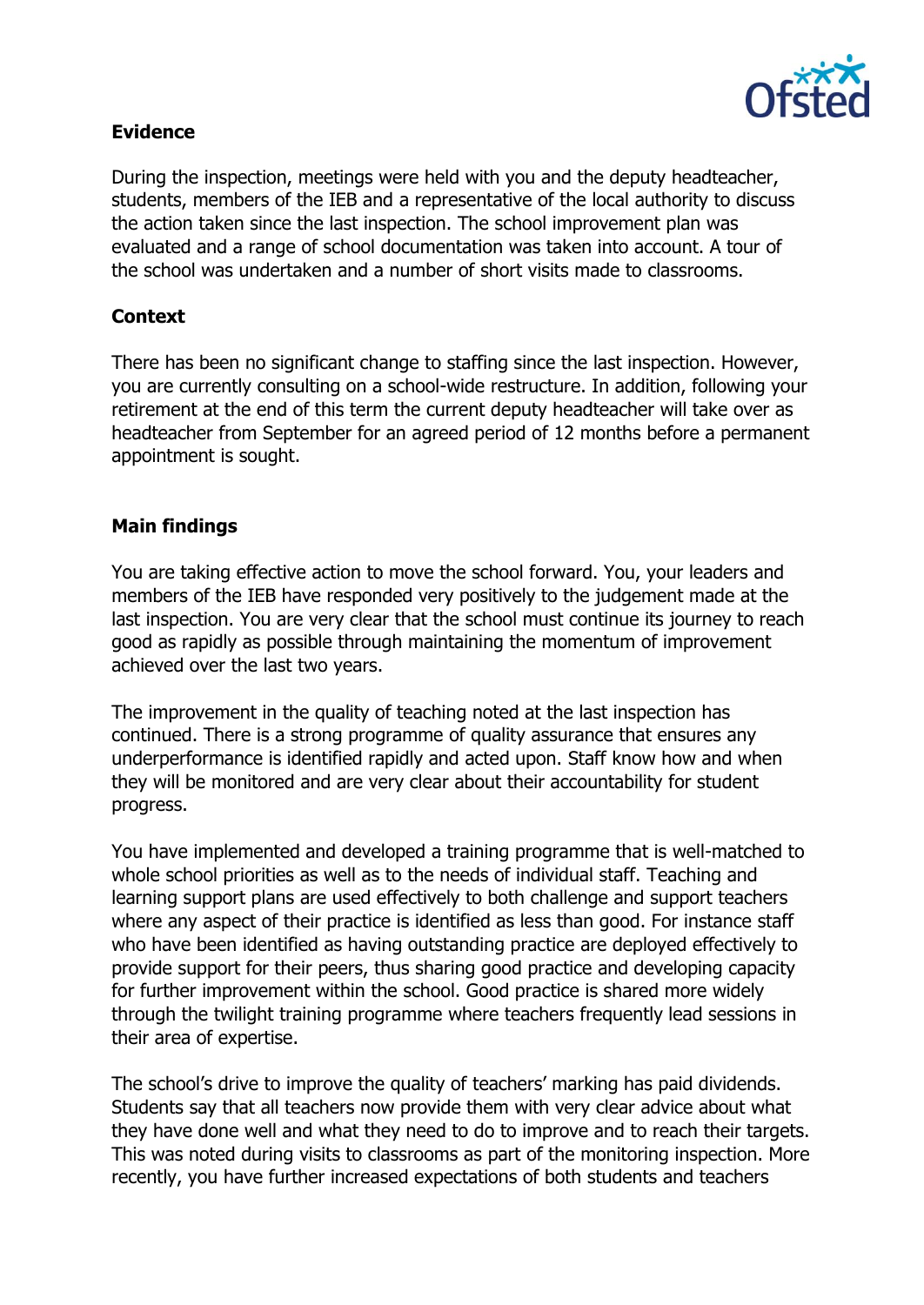

# **Evidence**

During the inspection, meetings were held with you and the deputy headteacher, students, members of the IEB and a representative of the local authority to discuss the action taken since the last inspection. The school improvement plan was evaluated and a range of school documentation was taken into account. A tour of the school was undertaken and a number of short visits made to classrooms.

# **Context**

There has been no significant change to staffing since the last inspection. However, you are currently consulting on a school-wide restructure. In addition, following your retirement at the end of this term the current deputy headteacher will take over as headteacher from September for an agreed period of 12 months before a permanent appointment is sought.

# **Main findings**

You are taking effective action to move the school forward. You, your leaders and members of the IEB have responded very positively to the judgement made at the last inspection. You are very clear that the school must continue its journey to reach good as rapidly as possible through maintaining the momentum of improvement achieved over the last two years.

The improvement in the quality of teaching noted at the last inspection has continued. There is a strong programme of quality assurance that ensures any underperformance is identified rapidly and acted upon. Staff know how and when they will be monitored and are very clear about their accountability for student progress.

You have implemented and developed a training programme that is well-matched to whole school priorities as well as to the needs of individual staff. Teaching and learning support plans are used effectively to both challenge and support teachers where any aspect of their practice is identified as less than good. For instance staff who have been identified as having outstanding practice are deployed effectively to provide support for their peers, thus sharing good practice and developing capacity for further improvement within the school. Good practice is shared more widely through the twilight training programme where teachers frequently lead sessions in their area of expertise.

The school's drive to improve the quality of teachers' marking has paid dividends. Students say that all teachers now provide them with very clear advice about what they have done well and what they need to do to improve and to reach their targets. This was noted during visits to classrooms as part of the monitoring inspection. More recently, you have further increased expectations of both students and teachers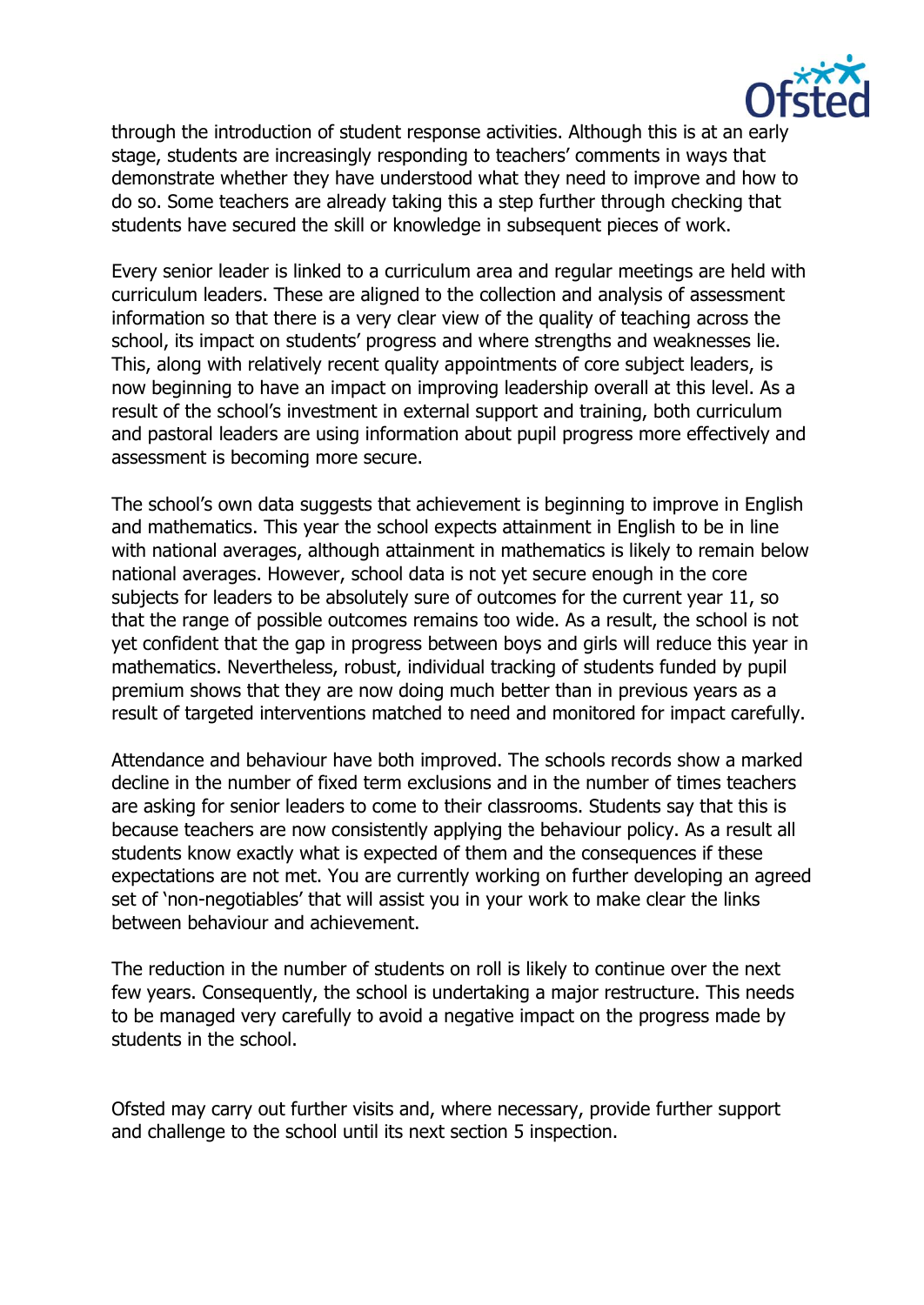

through the introduction of student response activities. Although this is at an early stage, students are increasingly responding to teachers' comments in ways that demonstrate whether they have understood what they need to improve and how to do so. Some teachers are already taking this a step further through checking that students have secured the skill or knowledge in subsequent pieces of work.

Every senior leader is linked to a curriculum area and regular meetings are held with curriculum leaders. These are aligned to the collection and analysis of assessment information so that there is a very clear view of the quality of teaching across the school, its impact on students' progress and where strengths and weaknesses lie. This, along with relatively recent quality appointments of core subject leaders, is now beginning to have an impact on improving leadership overall at this level. As a result of the school's investment in external support and training, both curriculum and pastoral leaders are using information about pupil progress more effectively and assessment is becoming more secure.

The school's own data suggests that achievement is beginning to improve in English and mathematics. This year the school expects attainment in English to be in line with national averages, although attainment in mathematics is likely to remain below national averages. However, school data is not yet secure enough in the core subjects for leaders to be absolutely sure of outcomes for the current year 11, so that the range of possible outcomes remains too wide. As a result, the school is not yet confident that the gap in progress between boys and girls will reduce this year in mathematics. Nevertheless, robust, individual tracking of students funded by pupil premium shows that they are now doing much better than in previous years as a result of targeted interventions matched to need and monitored for impact carefully.

Attendance and behaviour have both improved. The schools records show a marked decline in the number of fixed term exclusions and in the number of times teachers are asking for senior leaders to come to their classrooms. Students say that this is because teachers are now consistently applying the behaviour policy. As a result all students know exactly what is expected of them and the consequences if these expectations are not met. You are currently working on further developing an agreed set of 'non-negotiables' that will assist you in your work to make clear the links between behaviour and achievement.

The reduction in the number of students on roll is likely to continue over the next few years. Consequently, the school is undertaking a major restructure. This needs to be managed very carefully to avoid a negative impact on the progress made by students in the school.

Ofsted may carry out further visits and, where necessary, provide further support and challenge to the school until its next section 5 inspection.